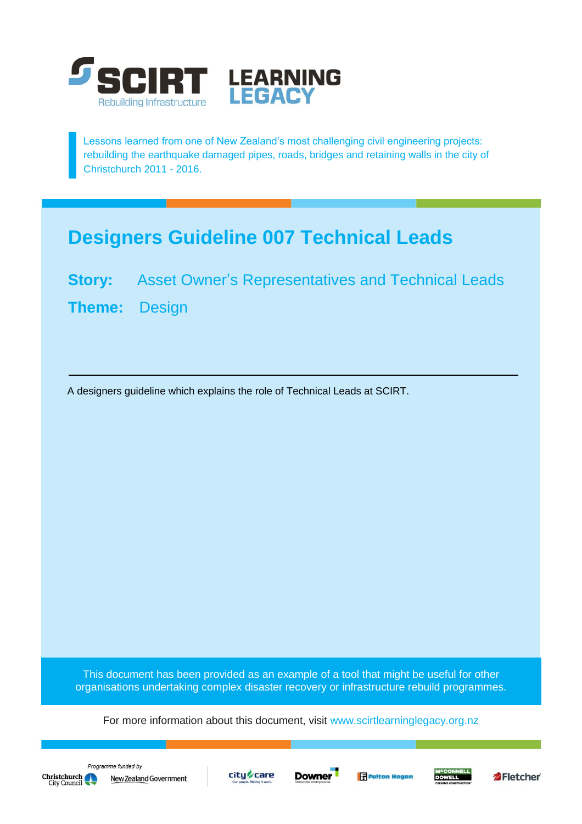

Lessons learned from one of New Zealand's most challenging civil engineering projects: rebuilding the earthquake damaged pipes, roads, bridges and retaining walls in the city of Christchurch 2011 - 2016.

# **Designers Guideline 007 Technical Leads**

**Story:** Asset Owner's Representatives and Technical Leads **Theme:** Design

A designers guideline which explains the role of Technical Leads at SCIRT.

This document has been provided as an example of a tool that might be useful for other organisations undertaking complex disaster recovery or infrastructure rebuild programmes.

For more information about this document, visit [www.scirtlearninglegacy.org.nz](http://www.scirtlearninglegacy.org.nz/)









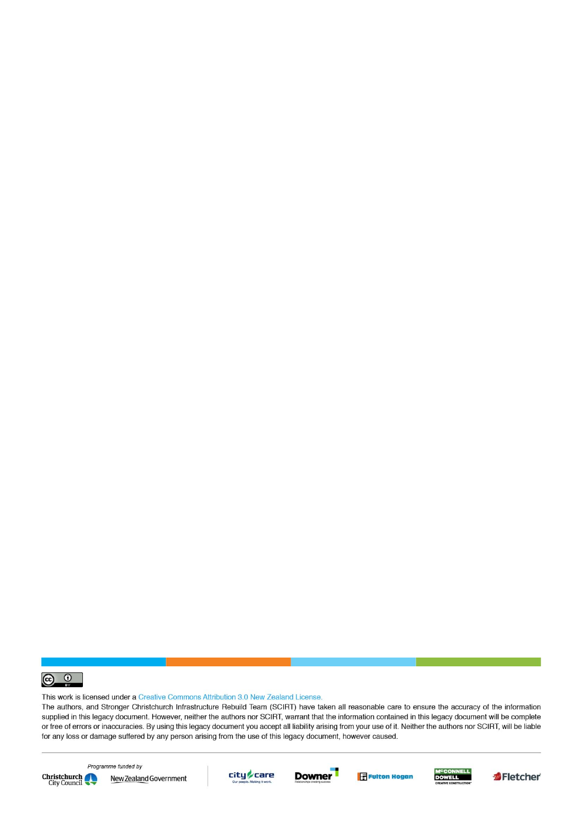

This work is licensed under a Creative Commons Attribution 3.0 New Zealand License.

The authors, and Stronger Christchurch Infrastructure Rebuild Team (SCIRT) have taken all reasonable care to ensure the accuracy of the information supplied in this legacy document. However, neither the authors nor SCIRT, warrant that the information contained in this legacy document will be complete or free of errors or inaccuracies. By using this legacy document you accept all liability arising from your use of it. Neither the authors nor SCIRT, will be liable for any loss or damage suffered by any person arising from the use of this legacy document, however caused.



Programme funded by New Zealand Government









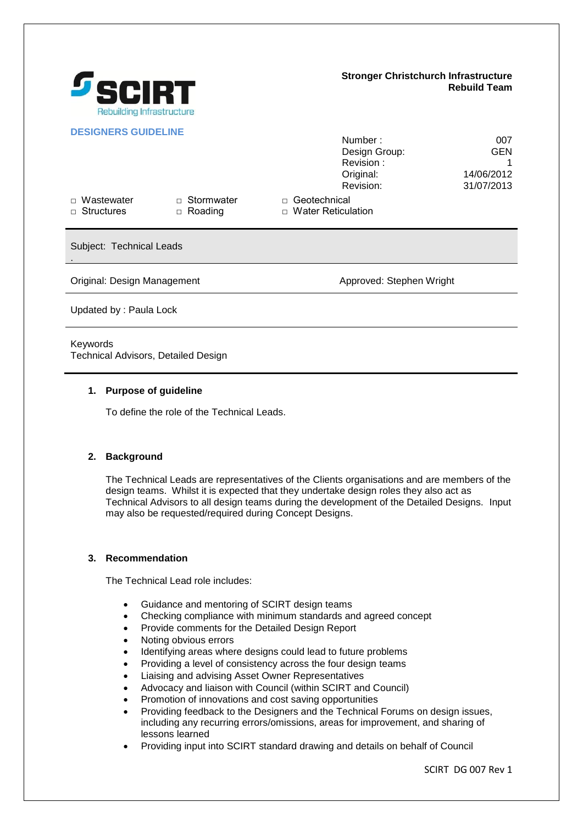

### **Stronger Christchurch Infrastructure Rebuild Team**

Number : 007

## **DESIGNERS GUIDELINE**

|                                        |                                     | $1$ ullivci.<br>Design Group:<br>Revision:          | vv 1<br><b>GEN</b>       |
|----------------------------------------|-------------------------------------|-----------------------------------------------------|--------------------------|
|                                        |                                     | Original:<br>Revision:                              | 14/06/2012<br>31/07/2013 |
| $\Box$ Wastewater<br>$\Box$ Structures | $\Box$ Stormwater<br>$\Box$ Roading | Geotechnical<br>$\Box$<br>$\Box$ Water Reticulation |                          |
| Subject: Technical Leads               |                                     |                                                     |                          |

Original: Design Management Approved: Stephen Wright

Updated by : Paula Lock

### Keywords

Technical Advisors, Detailed Design

### **1. Purpose of guideline**

To define the role of the Technical Leads.

## **2. Background**

The Technical Leads are representatives of the Clients organisations and are members of the design teams. Whilst it is expected that they undertake design roles they also act as Technical Advisors to all design teams during the development of the Detailed Designs. Input may also be requested/required during Concept Designs.

#### **3. Recommendation**

The Technical Lead role includes:

- Guidance and mentoring of SCIRT design teams
- Checking compliance with minimum standards and agreed concept
- Provide comments for the Detailed Design Report
- Noting obvious errors
- Identifying areas where designs could lead to future problems
- Providing a level of consistency across the four design teams
- Liaising and advising Asset Owner Representatives
- Advocacy and liaison with Council (within SCIRT and Council)
- Promotion of innovations and cost saving opportunities
- Providing feedback to the Designers and the Technical Forums on design issues, including any recurring errors/omissions, areas for improvement, and sharing of lessons learned
- Providing input into SCIRT standard drawing and details on behalf of Council

SCIRT DG 007 Rev 1